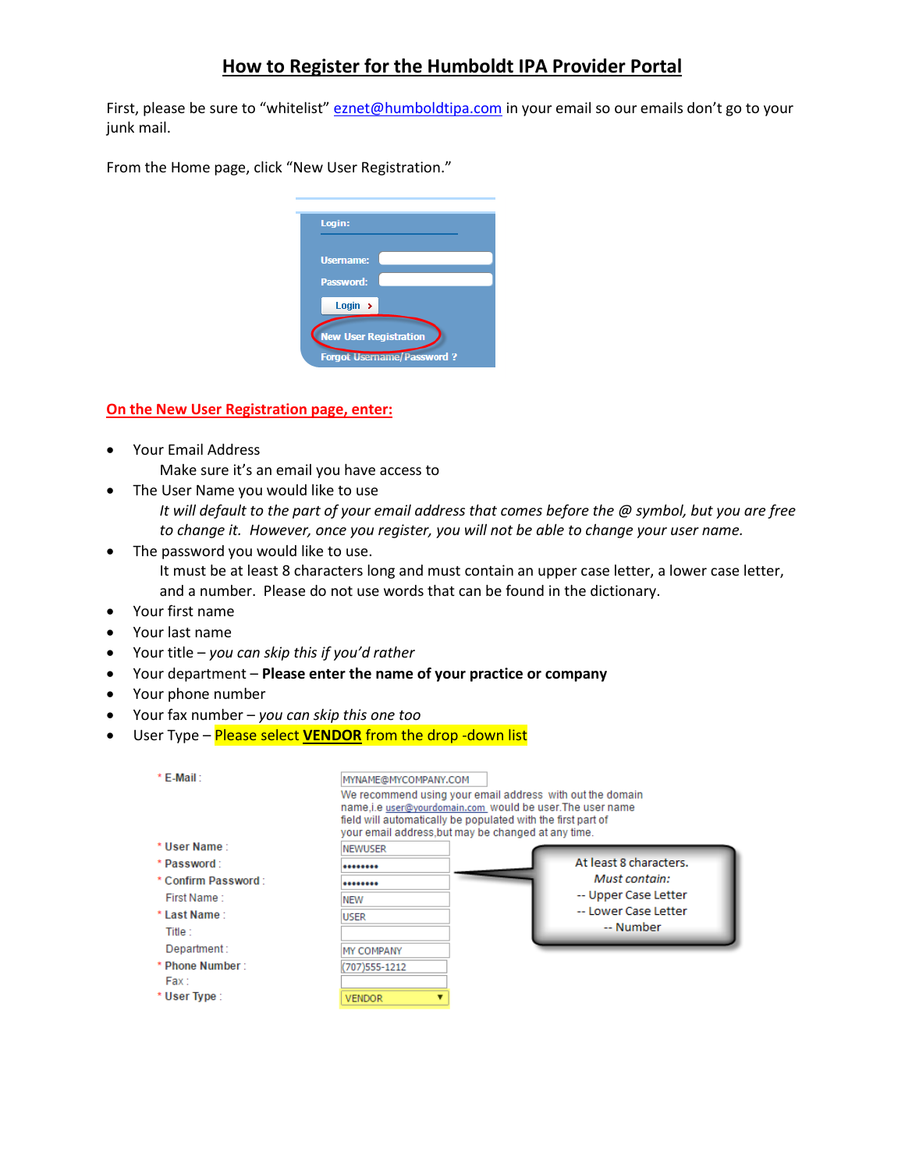## **How to Register for the Humboldt IPA Provider Portal**

First, please be sure to "whitelist" [eznet@humboldtipa.com](mailto:eznet@humboldtipa.com) in your email so our emails don't go to your junk mail.

From the Home page, click "New User Registration."



## **On the New User Registration page, enter:**

- Your Email Address Make sure it's an email you have access to
- The User Name you would like to use
	- *It will default to the part of your email address that comes before the @ symbol, but you are free to change it. However, once you register, you will not be able to change your user name.*
- The password you would like to use. It must be at least 8 characters long and must contain an upper case letter, a lower case letter, and a number. Please do not use words that can be found in the dictionary.
- Your first name
- Your last name
- Your title *you can skip this if you'd rather*
- Your department **Please enter the name of your practice or company**
- Your phone number
- Your fax number *you can skip this one too*
- User Type Please select **VENDOR** from the drop -down list

| * F-Mail:           | MYNAME@MYCOMPANY.COM<br>name,i.e user@yourdomain.com would be user.The user name<br>field will automatically be populated with the first part of<br>your email address, but may be changed at any time. | We recommend using your email address with out the domain |
|---------------------|---------------------------------------------------------------------------------------------------------------------------------------------------------------------------------------------------------|-----------------------------------------------------------|
| * User Name :       | <b>NEWUSER</b>                                                                                                                                                                                          |                                                           |
| * Password:         |                                                                                                                                                                                                         | At least 8 characters.                                    |
| * Confirm Password: |                                                                                                                                                                                                         | Must contain:                                             |
| First Name 1        | <b>NEW</b>                                                                                                                                                                                              | -- Upper Case Letter                                      |
| * Last Name:        | <b>USER</b>                                                                                                                                                                                             | -- Lower Case Letter                                      |
| Title :             |                                                                                                                                                                                                         | -- Number                                                 |
| Department:         | MY COMPANY                                                                                                                                                                                              |                                                           |
| * Phone Number:     | (707)555-1212                                                                                                                                                                                           |                                                           |
| Fax:                |                                                                                                                                                                                                         |                                                           |
| * User Type:        | <b>VENDOR</b>                                                                                                                                                                                           |                                                           |